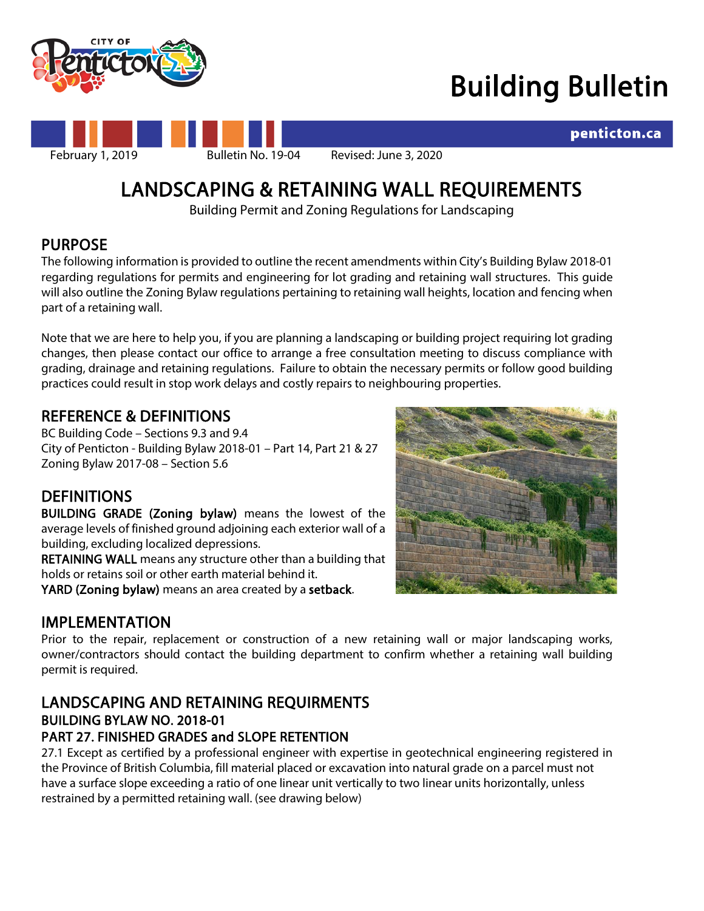

# Building Bulletin

penticton.ca



# LANDSCAPING & RETAINING WALL REQUIREMENTS<br>Building Permit and Zoning Regulations for Landscaping

PURPOSE<br>The following information is provided to outline the recent amendments within City's Building Bylaw 2018-01 regarding regulations for permits and engineering for lot grading and retaining wall structures. This guide will also outline the Zoning Bylaw regulations pertaining to retaining wall heights, location and fencing when part of a retaining wall.

Note that we are here to help you, if you are planning a landscaping or building project requiring lot grading changes, then please contact our office to arrange a free consultation meeting to discuss compliance with grading, drainage and retaining regulations. Failure to obtain the necessary permits or follow good building practices could result in stop work delays and costly repairs to neighbouring properties.

# REFERENCE & DEFINITIONS

BC Building Code – Sections 9.3 and 9.4 City of Penticton - Building Bylaw 2018-01 – Part 14, Part 21 & 27 Zoning Bylaw 2017-08 – Section 5.6

DEFINITIONS<br>
BUILDING GRADE (Zoning bylaw) means the lowest of the average levels of finished ground adjoining each exterior wall of a building, excluding localized depressions.

RETAINING WALL means any structure other than a building that holds or retains soil or other earth material behind it.

YARD (Zoning bylaw) means an area created by a setback.



**IMPLEMENTATION**<br>Prior to the repair, replacement or construction of a new retaining wall or major landscaping works, owner/contractors should contact the building department to confirm whether a retaining wall building permit is required.

### LANDSCAPING AND RETAINING REQUIRMENTS BUILDING BYLAW NO. 2018-01 PART 27. FINISHED GRADES and SLOPE RETENTION

27.1 Except as certified by a professional engineer with expertise in geotechnical engineering registered in the Province of British Columbia, fill material placed or excavation into natural grade on a parcel must not have a surface slope exceeding a ratio of one linear unit vertically to two linear units horizontally, unless restrained by a permitted retaining wall. (see drawing below)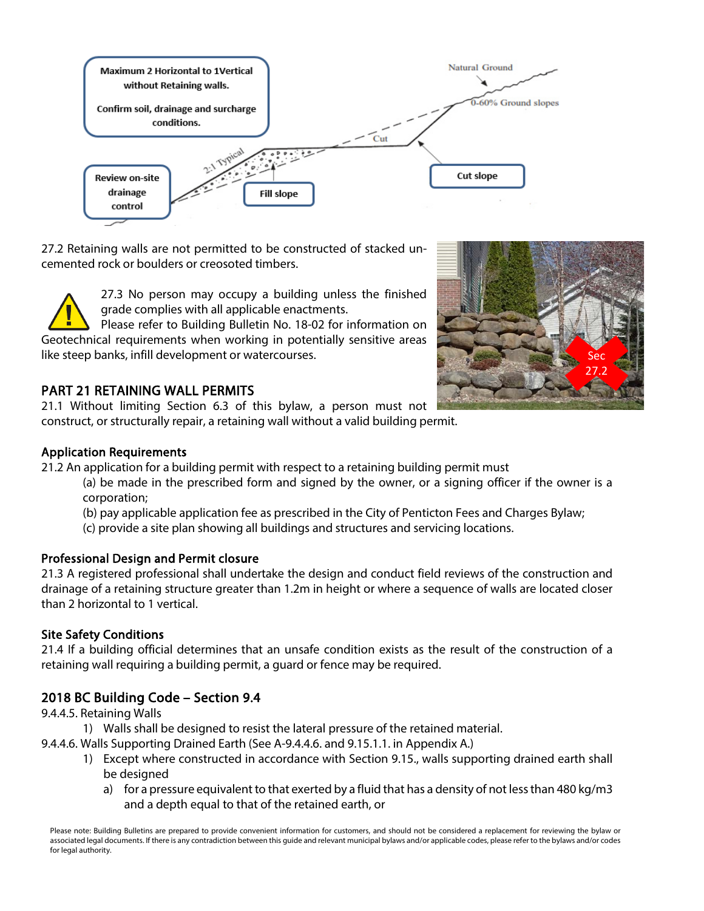

27.2 Retaining walls are not permitted to be constructed of stacked uncemented rock or boulders or creosoted timbers.

> 27.3 No person may occupy a building unless the finished grade complies with all applicable enactments.

Please refer to Building Bulletin No. 18-02 for information on Geotechnical requirements when working in potentially sensitive areas like steep banks, infill development or watercourses.

### PART 21 RETAINING WALL PERMITS

21.1 Without limiting Section 6.3 of this bylaw, a person must not construct, or structurally repair, a retaining wall without a valid building permit.



#### Application Requirements

21.2 An application for a building permit with respect to a retaining building permit must

(a) be made in the prescribed form and signed by the owner, or a signing officer if the owner is a corporation;

(b) pay applicable application fee as prescribed in the City of Penticton Fees and Charges Bylaw;

(c) provide a site plan showing all buildings and structures and servicing locations.

#### Professional Design and Permit closure

21.3 A registered professional shall undertake the design and conduct field reviews of the construction and drainage of a retaining structure greater than 1.2m in height or where a sequence of walls are located closer than 2 horizontal to 1 vertical.

#### Site Safety Conditions

21.4 If a building official determines that an unsafe condition exists as the result of the construction of a retaining wall requiring a building permit, a guard or fence may be required.

# 2018 BC Building Code – Section 9.4

9.4.4.5. Retaining Walls

- 1) Walls shall be designed to resist the lateral pressure of the retained material.
- 9.4.4.6. Walls Supporting Drained Earth (See A-9.4.4.6. and 9.15.1.1. in Appendix A.)
	- 1) Except where constructed in accordance with Section 9.15., walls supporting drained earth shall be designed
		- a) for a pressure equivalent to that exerted by a fluid that has a density of not less than 480 kg/m3 and a depth equal to that of the retained earth, or

Please note: Building Bulletins are prepared to provide convenient information for customers, and should not be considered a replacement for reviewing the bylaw or associated legal documents. If there is any contradiction between this guide and relevant municipal bylaws and/or applicable codes, please refer to the bylaws and/or codes for legal authority.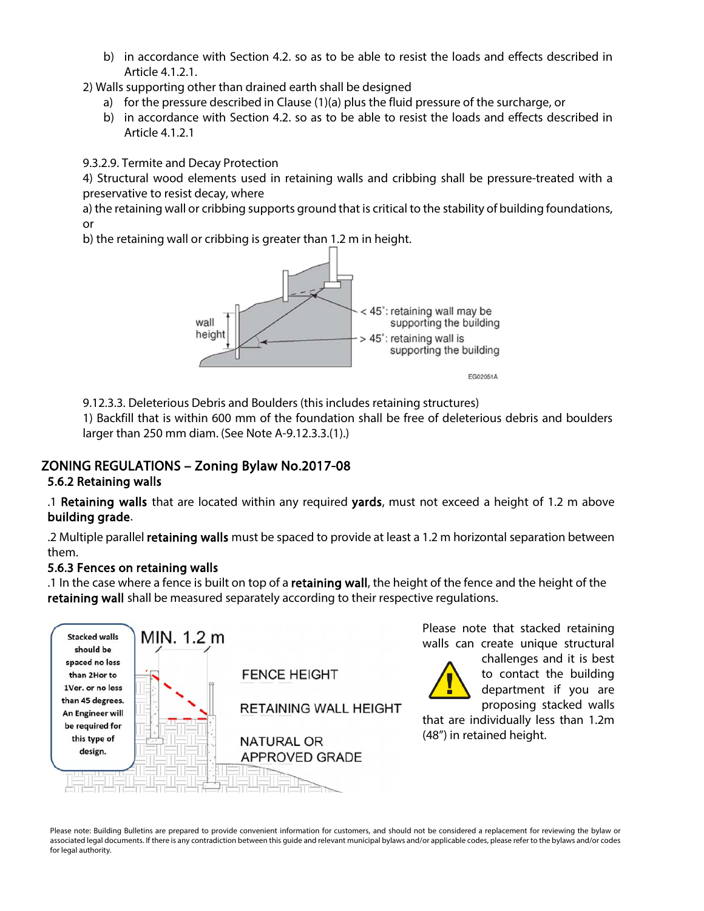b) in accordance with Section 4.2. so as to be able to resist the loads and effects described in Article 4.1.2.1.

2) Walls supporting other than drained earth shall be designed

- a) for the pressure described in Clause (1)(a) plus the fluid pressure of the surcharge, or
- b) in accordance with Section 4.2. so as to be able to resist the loads and effects described in Article 4.1.2.1

9.3.2.9. Termite and Decay Protection

4) Structural wood elements used in retaining walls and cribbing shall be pressure-treated with a preservative to resist decay, where

a) the retaining wall or cribbing supports ground that is critical to the stability of building foundations, or

b) the retaining wall or cribbing is greater than 1.2 m in height.



9.12.3.3. Deleterious Debris and Boulders (this includes retaining structures)

1) Backfill that is within 600 mm of the foundation shall be free of deleterious debris and boulders larger than 250 mm diam. (See Note A-9.12.3.3.(1).)

# ZONING REGULATIONS – Zoning Bylaw No.2017-08

#### 5.6.2 Retaining walls

.1 Retaining walls that are located within any required yards, must not exceed a height of 1.2 m above building grade.

.2 Multiple parallel retaining walls must be spaced to provide at least a 1.2 m horizontal separation between them.

#### 5.6.3 Fences on retaining walls

.1 In the case where a fence is built on top of a retaining wall, the height of the fence and the height of the retaining wall shall be measured separately according to their respective regulations.



Please note that stacked retaining walls can create unique structural

challenges and it is best to contact the building department if you are proposing stacked walls

that are individually less than 1.2m (48") in retained height.

Please note: Building Bulletins are prepared to provide convenient information for customers, and should not be considered a replacement for reviewing the bylaw or associated legal documents. If there is any contradiction between this guide and relevant municipal bylaws and/or applicable codes, please refer to the bylaws and/or codes for legal authority.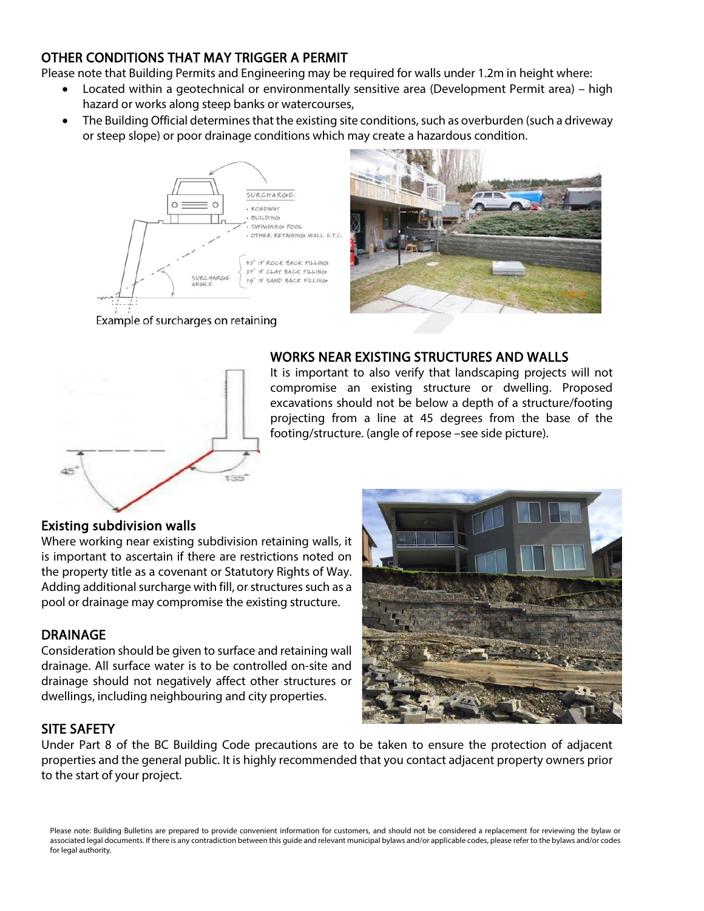# OTHER CONDITIONS THAT MAY TRIGGER A PERMIT

Please note that Building Permits and Engineering may be required for walls under 1.2m in height where:

- Located within a geotechnical or environmentally sensitive area (Development Permit area) high hazard or works along steep banks or watercourses,
- The Building Official determines that the existing site conditions, such as overburden (such a driveway or steep slope) or poor drainage conditions which may create a hazardous condition.



Example of surcharges on retaining



### WORKS NEAR EXISTING STRUCTURES AND WALLS

It is important to also verify that landscaping projects will not compromise an existing structure or dwelling. Proposed excavations should not be below a depth of a structure/footing projecting from a line at 45 degrees from the base of the footing/structure. (angle of repose –see side picture).

#### Existing subdivision walls

Where working near existing subdivision retaining walls, it is important to ascertain if there are restrictions noted on the property title as a covenant or Statutory Rights of Way. Adding additional surcharge with fill, or structures such as a pool or drainage may compromise the existing structure.

#### DRAINAGE

Consideration should be given to surface and retaining wall drainage. All surface water is to be controlled on-site and drainage should not negatively affect other structures or dwellings, including neighbouring and city properties.



# SITE SAFETY

Under Part 8 of the BC Building Code precautions are to be taken to ensure the protection of adjacent properties and the general public. It is highly recommended that you contact adjacent property owners prior to the start of your project.

Please note: Building Bulletins are prepared to provide convenient information for customers, and should not be considered a replacement for reviewing the bylaw or associated legal documents. If there is any contradiction between this guide and relevant municipal bylaws and/or applicable codes, please refer to the bylaws and/or codes for legal authority.